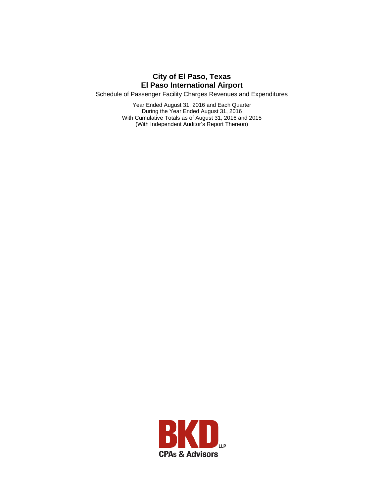Schedule of Passenger Facility Charges Revenues and Expenditures

Year Ended August 31, 2016 and Each Quarter During the Year Ended August 31, 2016 With Cumulative Totals as of August 31, 2016 and 2015 (With Independent Auditor's Report Thereon)

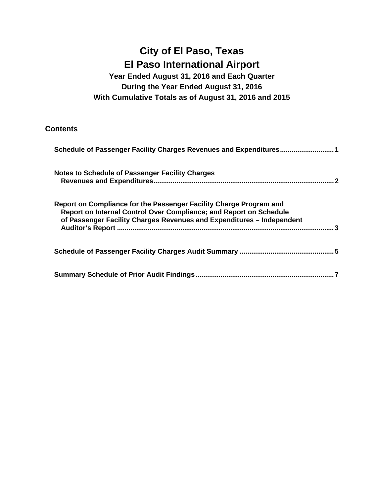## **Year Ended August 31, 2016 and Each Quarter During the Year Ended August 31, 2016 With Cumulative Totals as of August 31, 2016 and 2015**

### **Contents**

| Schedule of Passenger Facility Charges Revenues and Expenditures1                                                                                                                                                 |
|-------------------------------------------------------------------------------------------------------------------------------------------------------------------------------------------------------------------|
| <b>Notes to Schedule of Passenger Facility Charges</b>                                                                                                                                                            |
| Report on Compliance for the Passenger Facility Charge Program and<br>Report on Internal Control Over Compliance; and Report on Schedule<br>of Passenger Facility Charges Revenues and Expenditures - Independent |
|                                                                                                                                                                                                                   |
|                                                                                                                                                                                                                   |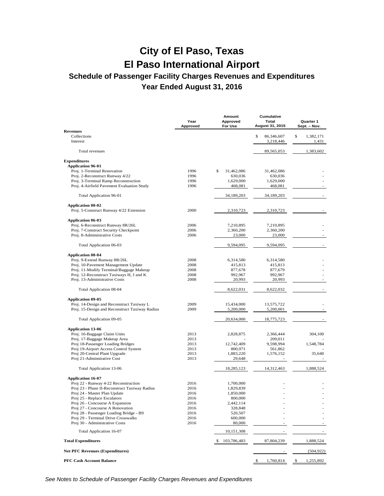## **Schedule of Passenger Facility Charges Revenues and Expenditures Year Ended August 31, 2016**

|                                                | Year<br>Approved | Amount<br>Approved<br>For Use | Cumulative<br>Total<br><b>August 31, 2015</b> | Quarter 1<br>Sept. - Nov. |
|------------------------------------------------|------------------|-------------------------------|-----------------------------------------------|---------------------------|
| <b>Revenues</b>                                |                  |                               |                                               |                           |
| Collections<br>Interest                        |                  |                               | \$<br>86,346,607<br>3,218,446                 | \$<br>1,382,171<br>1,431  |
| Total revenues                                 |                  |                               | 89,565,053                                    | 1,383,602                 |
| <b>Expenditures</b>                            |                  |                               |                                               |                           |
| <b>Application 96-01</b>                       |                  |                               |                                               |                           |
| Proj. 1-Terminal Renovation                    | 1996             | \$<br>31,462,086              | 31,462,086                                    |                           |
| Proj. 2-Reconstruct Runway 4/22                | 1996             | 630,036                       | 630,036                                       |                           |
| Proj. 3-Terminal Ramp Reconstruction           | 1996             | 1,629,000                     | 1,629,000                                     |                           |
| Proj. 4-Airfield Pavement Evaluation Study     | 1996             | 468,081                       | 468,081                                       |                           |
| <b>Total Application 96-01</b>                 |                  | 34,189,203                    | 34,189,203                                    |                           |
| <b>Application 00-02</b>                       |                  |                               |                                               |                           |
| Proj. 5-Construct Runway 4/22 Extension        | 2000             | 2,310,723                     | 2,310,723                                     |                           |
| <b>Application 06-03</b>                       |                  |                               |                                               |                           |
| Proj. 6-Reconstruct Runway 8R/26L              | 2006             | 7,210,895                     | 7,210,895                                     |                           |
| Proj. 7-Construct Security Checkpoint          | 2006             | 2,360,200                     | 2,360,200                                     |                           |
| Proj. 8-Administrative Costs                   | 2006             | 23,000                        | 23,000                                        |                           |
| Total Application 06-03                        |                  | 9,594,095                     | 9,594,095                                     |                           |
| <b>Application 08-04</b>                       |                  |                               |                                               |                           |
| Proj. 9-Extend Runway 8R/26L                   | 2008             | 6,314,580                     | 6,314,580                                     |                           |
| Proj. 10-Pavement Management Update            | 2008             | 415,813                       | 415,813                                       |                           |
| Proj. 11-Modify Terminal/Baggage Makeup        | 2008             | 877,678                       | 877,679                                       |                           |
| Proj. 12-Reconstruct Taxiways H, J and K       | 2008             | 992,967                       | 992,967                                       |                           |
| Proj. 13-Administrative Costs                  | 2008             | 20,993                        | 20,993                                        | ÷,                        |
| <b>Total Application 08-04</b>                 |                  | 8,622,031                     | 8,622,032                                     |                           |
| <b>Application 09-05</b>                       |                  |                               |                                               |                           |
| Proj. 14-Design and Reconstruct Taxiway L      | 2009             | 15,434,000                    | 13,575,722                                    |                           |
| Proj. 15-Design and Reconstruct Taxiway Radius | 2009             | 5,200,000                     | 5,200,001                                     |                           |
| Total Application 09-05                        |                  | 20,634,000                    | 18,775,723                                    |                           |
| <b>Application 13-06</b>                       |                  |                               |                                               |                           |
| Proj. 16-Baggage Claim Units                   | 2013             | 2,828,875                     | 2,366,444                                     | 304,100                   |
| Proj. 17-Baggage Makeup Area                   | 2013             |                               | 209,011                                       |                           |
| Proj 18-Passenger Loading Bridges              | 2013             | 12,742,409                    | 9,598,994                                     | 1,548,784                 |
| Proj 19-Airport Access Control System          | 2013             | 800,971                       | 561,862                                       |                           |
| Proj 20-Central Plant Upgrade                  | 2013             | 1,883,220                     | 1,576,152                                     | 35,640                    |
| Proj 21-Adminstrative Cost                     | 2013             | 29,648                        |                                               |                           |
| Total Application 13-06                        |                  | 18,285,123                    | 14,312,463                                    | 1,888,524                 |
| <b>Application 16-07</b>                       |                  |                               |                                               |                           |
| Proj 22 - Runway 4-22 Reconstruction           | 2016             | 1,700,000                     |                                               |                           |
| Proj 23 - Phase II-Reconstruct Taxiway Radius  | 2016             | 1,829,839                     |                                               |                           |
| Proj 24 - Master Plan Update                   | 2016             | 1,850,000                     |                                               |                           |
| Proj 25 - Replace Escalators                   | 2016             | 800,000                       |                                               |                           |
| Proj 26 - Concourse A Expansion                | 2016             | 2,442,114                     |                                               |                           |
| Proj 27 - Concourse A Renovation               | 2016             | 328,848                       |                                               |                           |
| Proj 28 - Passenger Loading Bridge - B9        | 2016             | 520,507                       |                                               |                           |
| Proj 29 - Terminal Drive Crosswalks            | 2016             | 600,000                       |                                               |                           |
| Proj 30 - Administrative Costs                 | 2016             | 80,000                        |                                               |                           |
| Total Application 16-07                        |                  | 10,151,308                    |                                               |                           |
| <b>Total Expenditures</b>                      |                  | 103,786,483                   | 87,804,239                                    | 1,888,524                 |
| <b>Net PFC Revenues (Expenditures)</b>         |                  |                               |                                               | (504, 922)                |
| <b>PFC Cash Account Balance</b>                |                  |                               | \$<br>1,760,814                               | \$<br>1,255,892           |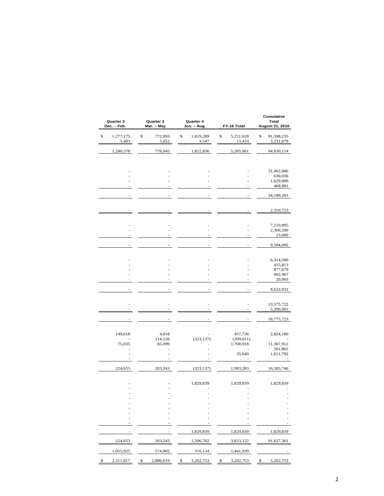| Quarter 2<br>Dec. - Feb. | Quarter 3<br>Mar. - May | Quarter 4<br>Jun. - Aug. | FY-16 Total |                     | Cumulative<br>Total<br>August 31, 2016 |  |
|--------------------------|-------------------------|--------------------------|-------------|---------------------|----------------------------------------|--|
| \$<br>1,277,175<br>3,403 | \$<br>772,993<br>5,052  | \$<br>1,819,289<br>3,547 | \$          | 5,251,628<br>13,433 | \$<br>91,598,235<br>3,231,879          |  |
| 1,280,578                | 778,045                 | 1,822,836                |             | 5,265,061           | 94,830,114                             |  |
|                          |                         |                          |             |                     |                                        |  |
|                          |                         |                          |             |                     | 31,462,086                             |  |
|                          |                         |                          |             |                     | 630,036                                |  |
|                          |                         |                          |             |                     | 1,629,000<br>468,081                   |  |
|                          |                         |                          |             |                     | 34,189,203                             |  |
|                          |                         |                          |             |                     | 2,310,723                              |  |
|                          |                         |                          |             |                     | 7,210,895                              |  |
|                          |                         |                          |             |                     | 2,360,200                              |  |
|                          |                         |                          |             |                     | 23,000                                 |  |
|                          |                         |                          |             |                     | 9,594,095                              |  |
|                          |                         |                          |             |                     | 6,314,580                              |  |
|                          |                         |                          |             |                     | 415,813                                |  |
|                          |                         |                          |             |                     | 877,679                                |  |
|                          |                         |                          |             |                     | 992,967                                |  |
|                          |                         |                          |             |                     | 20,993                                 |  |
|                          |                         |                          |             |                     | 8,622,032                              |  |
|                          |                         |                          |             |                     |                                        |  |
|                          |                         |                          |             |                     | 13,575,722                             |  |
|                          |                         |                          |             |                     | 5,200,001                              |  |
|                          |                         |                          |             |                     | 18,775,723                             |  |
|                          |                         |                          |             |                     |                                        |  |
| 149,618                  | 4,018                   |                          |             | 457,736             | 2,824,180                              |  |
|                          | 114,126                 | (323, 137)               |             | (209, 011)          |                                        |  |
| 75,035                   | 85,099                  |                          |             | 1,708,918           | 11,307,912                             |  |
|                          |                         |                          |             |                     | 561,862                                |  |
|                          |                         |                          |             | 35,640              | 1,611,792                              |  |
| 224,653                  | 203,243                 | (323, 137)               |             | 1,993,283           | 16,305,746                             |  |
|                          |                         |                          |             |                     |                                        |  |
|                          |                         | 1,829,839                |             | 1,829,839           | 1,829,839                              |  |
|                          |                         |                          |             |                     |                                        |  |
|                          |                         |                          |             |                     |                                        |  |
|                          |                         |                          |             |                     |                                        |  |
|                          |                         |                          |             |                     |                                        |  |
|                          |                         |                          |             |                     |                                        |  |
|                          |                         |                          |             |                     |                                        |  |
|                          |                         | 1,829,839                |             | 1,829,839           | 1,829,839                              |  |
| 224,653                  | 203,243                 | 1,506,702                |             | 3,823,122           | 91,627,361                             |  |
| 1,055,925                | 574,802                 | 316,134                  |             | 1,441,939           |                                        |  |
| \$<br>2,311,817          | \$<br>2,886,619         | \$<br>3,202,753          | \$          | 3,202,753           | \$<br>3,202,753                        |  |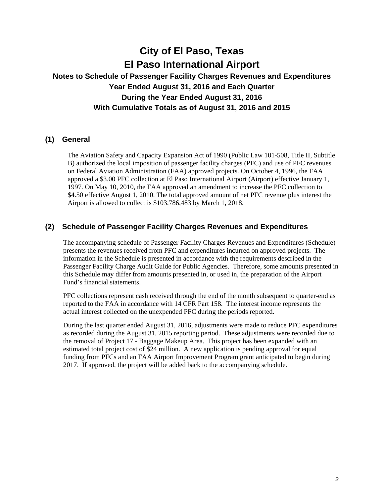## **Notes to Schedule of Passenger Facility Charges Revenues and Expenditures Year Ended August 31, 2016 and Each Quarter During the Year Ended August 31, 2016 With Cumulative Totals as of August 31, 2016 and 2015**

### **(1) General**

The Aviation Safety and Capacity Expansion Act of 1990 (Public Law 101-508, Title II, Subtitle B) authorized the local imposition of passenger facility charges (PFC) and use of PFC revenues on Federal Aviation Administration (FAA) approved projects. On October 4, 1996, the FAA approved a \$3.00 PFC collection at El Paso International Airport (Airport) effective January 1, 1997. On May 10, 2010, the FAA approved an amendment to increase the PFC collection to \$4.50 effective August 1, 2010. The total approved amount of net PFC revenue plus interest the Airport is allowed to collect is \$103,786,483 by March 1, 2018.

### **(2) Schedule of Passenger Facility Charges Revenues and Expenditures**

The accompanying schedule of Passenger Facility Charges Revenues and Expenditures (Schedule) presents the revenues received from PFC and expenditures incurred on approved projects. The information in the Schedule is presented in accordance with the requirements described in the Passenger Facility Charge Audit Guide for Public Agencies. Therefore, some amounts presented in this Schedule may differ from amounts presented in, or used in, the preparation of the Airport Fund's financial statements.

PFC collections represent cash received through the end of the month subsequent to quarter-end as reported to the FAA in accordance with 14 CFR Part 158. The interest income represents the actual interest collected on the unexpended PFC during the periods reported.

During the last quarter ended August 31, 2016, adjustments were made to reduce PFC expenditures as recorded during the August 31, 2015 reporting period. These adjustments were recorded due to the removal of Project 17 - Baggage Makeup Area. This project has been expanded with an estimated total project cost of \$24 million. A new application is pending approval for equal funding from PFCs and an FAA Airport Improvement Program grant anticipated to begin during 2017. If approved, the project will be added back to the accompanying schedule.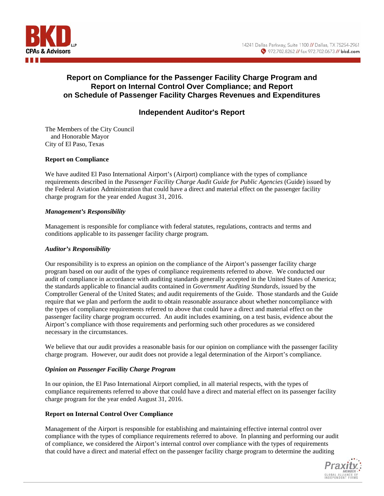

### **Report on Compliance for the Passenger Facility Charge Program and Report on Internal Control Over Compliance; and Report on Schedule of Passenger Facility Charges Revenues and Expenditures**

### **Independent Auditor's Report**

The Members of the City Council and Honorable Mayor City of El Paso, Texas

#### **Report on Compliance**

We have audited El Paso International Airport's (Airport) compliance with the types of compliance requirements described in the *Passenger Facility Charge Audit Guide for Public Agencies* (Guide) issued by the Federal Aviation Administration that could have a direct and material effect on the passenger facility charge program for the year ended August 31, 2016.

#### *Management's Responsibility*

Management is responsible for compliance with federal statutes, regulations, contracts and terms and conditions applicable to its passenger facility charge program.

#### *Auditor's Responsibility*

Our responsibility is to express an opinion on the compliance of the Airport's passenger facility charge program based on our audit of the types of compliance requirements referred to above. We conducted our audit of compliance in accordance with auditing standards generally accepted in the United States of America; the standards applicable to financial audits contained in *Government Auditing Standards*, issued by the Comptroller General of the United States; and audit requirements of the Guide. Those standards and the Guide require that we plan and perform the audit to obtain reasonable assurance about whether noncompliance with the types of compliance requirements referred to above that could have a direct and material effect on the passenger facility charge program occurred. An audit includes examining, on a test basis, evidence about the Airport's compliance with those requirements and performing such other procedures as we considered necessary in the circumstances.

We believe that our audit provides a reasonable basis for our opinion on compliance with the passenger facility charge program. However, our audit does not provide a legal determination of the Airport's compliance.

#### *Opinion on Passenger Facility Charge Program*

In our opinion, the El Paso International Airport complied, in all material respects, with the types of compliance requirements referred to above that could have a direct and material effect on its passenger facility charge program for the year ended August 31, 2016.

#### **Report on Internal Control Over Compliance**

Management of the Airport is responsible for establishing and maintaining effective internal control over compliance with the types of compliance requirements referred to above. In planning and performing our audit of compliance, we considered the Airport's internal control over compliance with the types of requirements that could have a direct and material effect on the passenger facility charge program to determine the auditing

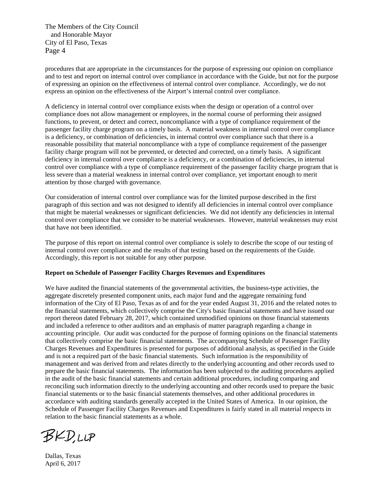The Members of the City Council and Honorable Mayor City of El Paso, Texas Page 4

procedures that are appropriate in the circumstances for the purpose of expressing our opinion on compliance and to test and report on internal control over compliance in accordance with the Guide, but not for the purpose of expressing an opinion on the effectiveness of internal control over compliance. Accordingly, we do not express an opinion on the effectiveness of the Airport's internal control over compliance.

A deficiency in internal control over compliance exists when the design or operation of a control over compliance does not allow management or employees, in the normal course of performing their assigned functions, to prevent, or detect and correct, noncompliance with a type of compliance requirement of the passenger facility charge program on a timely basis. A material weakness in internal control over compliance is a deficiency, or combination of deficiencies, in internal control over compliance such that there is a reasonable possibility that material noncompliance with a type of compliance requirement of the passenger facility charge program will not be prevented, or detected and corrected, on a timely basis. A significant deficiency in internal control over compliance is a deficiency, or a combination of deficiencies, in internal control over compliance with a type of compliance requirement of the passenger facility charge program that is less severe than a material weakness in internal control over compliance, yet important enough to merit attention by those charged with governance.

Our consideration of internal control over compliance was for the limited purpose described in the first paragraph of this section and was not designed to identify all deficiencies in internal control over compliance that might be material weaknesses or significant deficiencies. We did not identify any deficiencies in internal control over compliance that we consider to be material weaknesses. However, material weaknesses may exist that have not been identified.

The purpose of this report on internal control over compliance is solely to describe the scope of our testing of internal control over compliance and the results of that testing based on the requirements of the Guide. Accordingly, this report is not suitable for any other purpose.

#### **Report on Schedule of Passenger Facility Charges Revenues and Expenditures**

We have audited the financial statements of the governmental activities, the business-type activities, the aggregate discretely presented component units, each major fund and the aggregate remaining fund information of the City of El Paso, Texas as of and for the year ended August 31, 2016 and the related notes to the financial statements, which collectively comprise the City's basic financial statements and have issued our report thereon dated February 28, 2017, which contained unmodified opinions on those financial statements and included a reference to other auditors and an emphasis of matter paragraph regarding a change in accounting principle. Our audit was conducted for the purpose of forming opinions on the financial statements that collectively comprise the basic financial statements. The accompanying Schedule of Passenger Facility Charges Revenues and Expenditures is presented for purposes of additional analysis, as specified in the Guide and is not a required part of the basic financial statements. Such information is the responsibility of management and was derived from and relates directly to the underlying accounting and other records used to prepare the basic financial statements. The information has been subjected to the auditing procedures applied in the audit of the basic financial statements and certain additional procedures, including comparing and reconciling such information directly to the underlying accounting and other records used to prepare the basic financial statements or to the basic financial statements themselves, and other additional procedures in accordance with auditing standards generally accepted in the United States of America. In our opinion, the Schedule of Passenger Facility Charges Revenues and Expenditures is fairly stated in all material respects in relation to the basic financial statements as a whole.

**BKD,LLP** 

Dallas, Texas April 6, 2017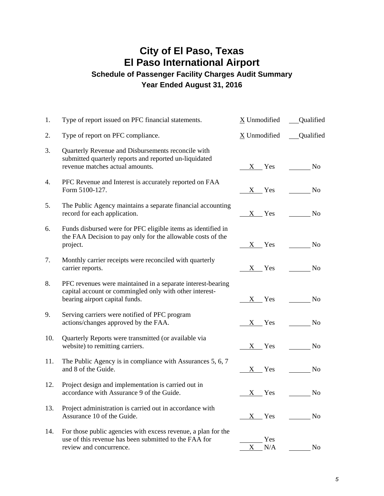## **City of El Paso, Texas El Paso International Airport Schedule of Passenger Facility Charges Audit Summary Year Ended August 31, 2016**

| 1.  | Type of report issued on PFC financial statements.                                                                                                       | X Unmodified          | <b>Qualified</b> |
|-----|----------------------------------------------------------------------------------------------------------------------------------------------------------|-----------------------|------------------|
| 2.  | Type of report on PFC compliance.                                                                                                                        | X Unmodified          | <b>Qualified</b> |
| 3.  | Quarterly Revenue and Disbursements reconcile with<br>submitted quarterly reports and reported un-liquidated<br>revenue matches actual amounts.          | X Yes                 | N <sub>o</sub>   |
| 4.  | PFC Revenue and Interest is accurately reported on FAA<br>Form 5100-127.                                                                                 | $X$ Yes               | N <sub>o</sub>   |
| 5.  | The Public Agency maintains a separate financial accounting<br>record for each application.                                                              | $X$ Yes               | N <sub>o</sub>   |
| 6.  | Funds disbursed were for PFC eligible items as identified in<br>the FAA Decision to pay only for the allowable costs of the<br>project.                  | $X$ Yes               | No.              |
| 7.  | Monthly carrier receipts were reconciled with quarterly<br>carrier reports.                                                                              | $X$ Yes               | No               |
| 8.  | PFC revenues were maintained in a separate interest-bearing<br>capital account or commingled only with other interest-<br>bearing airport capital funds. |                       | X Yes No         |
| 9.  | Serving carriers were notified of PFC program<br>actions/changes approved by the FAA.                                                                    | $X$ Yes               | No.              |
| 10. | Quarterly Reports were transmitted (or available via<br>website) to remitting carriers.                                                                  | $X$ Yes               | No               |
| 11. | The Public Agency is in compliance with Assurances 5, 6, 7<br>and 8 of the Guide.                                                                        | $X$ Yes               | N <sub>o</sub>   |
| 12. | Project design and implementation is carried out in<br>accordance with Assurance 9 of the Guide.                                                         | <b>Yes</b><br>$X_{-}$ | N <sub>0</sub>   |
| 13. | Project administration is carried out in accordance with<br>Assurance 10 of the Guide.                                                                   | $X$ Yes               | No               |
| 14. | For those public agencies with excess revenue, a plan for the<br>use of this revenue has been submitted to the FAA for<br>review and concurrence.        | Yes<br>$\rm N/A$<br>X | N <sub>o</sub>   |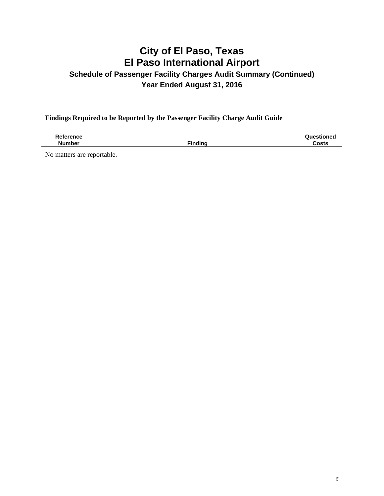## **Schedule of Passenger Facility Charges Audit Summary (Continued) Year Ended August 31, 2016**

**Findings Required to be Reported by the Passenger Facility Charge Audit Guide** 

**Reference Number** Finding **Questioned Costs** 

No matters are reportable.